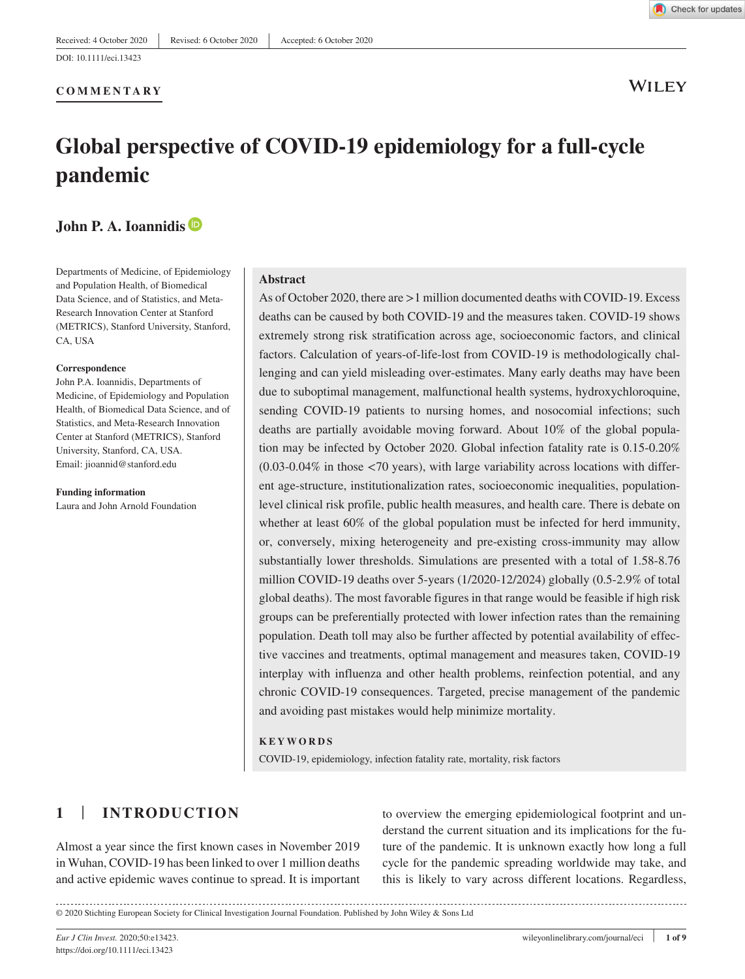**COMMENTARY**

**WILEY** 

# **Global perspective of COVID-19 epidemiology for a full-cycle pandemic**

# **John P. A. Ioannidi[s](https://orcid.org/0000-0003-3118-6859)**

Departments of Medicine, of Epidemiology and Population Health, of Biomedical Data Science, and of Statistics, and Meta-Research Innovation Center at Stanford (METRICS), Stanford University, Stanford, CA, USA

#### **Correspondence**

John P.A. Ioannidis, Departments of Medicine, of Epidemiology and Population Health, of Biomedical Data Science, and of Statistics, and Meta-Research Innovation Center at Stanford (METRICS), Stanford University, Stanford, CA, USA. Email: [jioannid@stanford.edu](mailto:jioannid@stanford.edu)

#### **Funding information**

Laura and John Arnold Foundation

#### **Abstract**

As of October 2020, there are >1 million documented deaths with COVID-19. Excess deaths can be caused by both COVID-19 and the measures taken. COVID-19 shows extremely strong risk stratification across age, socioeconomic factors, and clinical factors. Calculation of years-of-life-lost from COVID-19 is methodologically challenging and can yield misleading over-estimates. Many early deaths may have been due to suboptimal management, malfunctional health systems, hydroxychloroquine, sending COVID-19 patients to nursing homes, and nosocomial infections; such deaths are partially avoidable moving forward. About 10% of the global population may be infected by October 2020. Global infection fatality rate is 0.15-0.20%  $(0.03-0.04\%$  in those  $\langle 70 \rangle$  years), with large variability across locations with different age-structure, institutionalization rates, socioeconomic inequalities, populationlevel clinical risk profile, public health measures, and health care. There is debate on whether at least 60% of the global population must be infected for herd immunity, or, conversely, mixing heterogeneity and pre-existing cross-immunity may allow substantially lower thresholds. Simulations are presented with a total of 1.58-8.76 million COVID-19 deaths over 5-years (1/2020-12/2024) globally (0.5-2.9% of total global deaths). The most favorable figures in that range would be feasible if high risk groups can be preferentially protected with lower infection rates than the remaining population. Death toll may also be further affected by potential availability of effective vaccines and treatments, optimal management and measures taken, COVID-19 interplay with influenza and other health problems, reinfection potential, and any chronic COVID-19 consequences. Targeted, precise management of the pandemic and avoiding past mistakes would help minimize mortality.

**KEYWORDS** COVID-19, epidemiology, infection fatality rate, mortality, risk factors

# **1** | **INTRODUCTION**

Almost a year since the first known cases in November 2019 in Wuhan, COVID-19 has been linked to over 1 million deaths and active epidemic waves continue to spread. It is important to overview the emerging epidemiological footprint and understand the current situation and its implications for the future of the pandemic. It is unknown exactly how long a full cycle for the pandemic spreading worldwide may take, and this is likely to vary across different locations. Regardless,

https://doi.org/10.1111/eci.13423

<sup>© 2020</sup> Stichting European Society for Clinical Investigation Journal Foundation. Published by John Wiley & Sons Ltd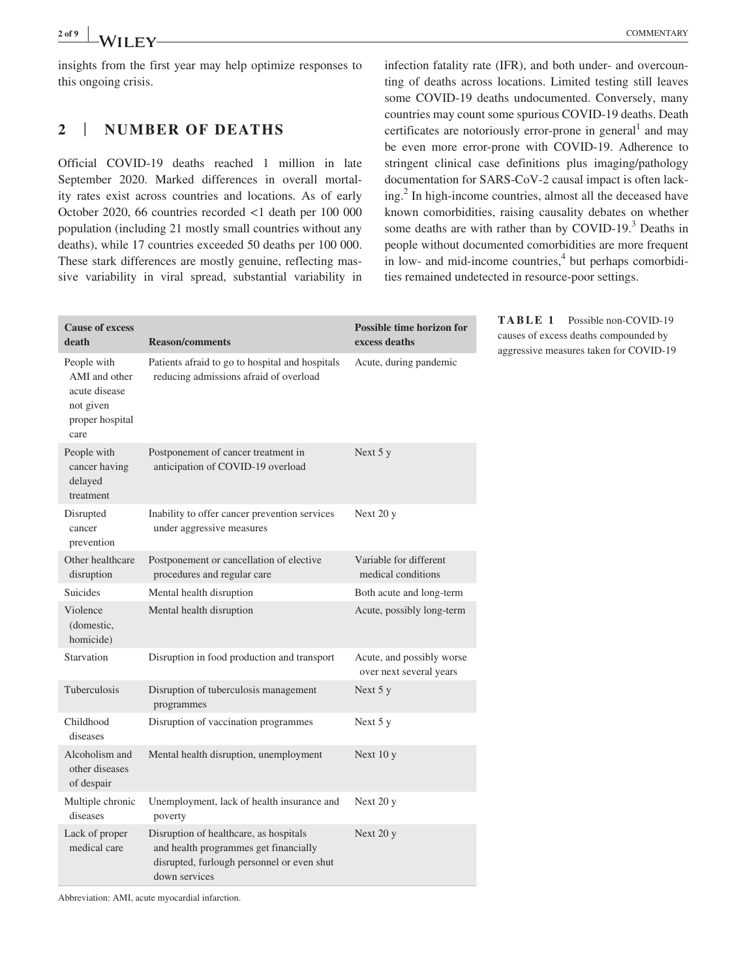insights from the first year may help optimize responses to this ongoing crisis.

#### **2** | **NUMBER OF DEATHS**

Official COVID-19 deaths reached 1 million in late September 2020. Marked differences in overall mortality rates exist across countries and locations. As of early October 2020, 66 countries recorded <1 death per 100 000 population (including 21 mostly small countries without any deaths), while 17 countries exceeded 50 deaths per 100 000. These stark differences are mostly genuine, reflecting massive variability in viral spread, substantial variability in infection fatality rate (IFR), and both under- and overcounting of deaths across locations. Limited testing still leaves some COVID-19 deaths undocumented. Conversely, many countries may count some spurious COVID-19 deaths. Death certificates are notoriously error-prone in general<sup>1</sup> and may be even more error-prone with COVID-19. Adherence to stringent clinical case definitions plus imaging/pathology documentation for SARS-CoV-2 causal impact is often lacking.<sup>2</sup> In high-income countries, almost all the deceased have known comorbidities, raising causality debates on whether some deaths are with rather than by COVID-19.<sup>3</sup> Deaths in people without documented comorbidities are more frequent in low- and mid-income countries,<sup>4</sup> but perhaps comorbidities remained undetected in resource-poor settings.

> **TABLE 1** Possible non-COVID-19 causes of excess deaths compounded by aggressive measures taken for COVID-19

| <b>Cause of excess</b><br>death                                                       | <b>Reason/comments</b>                                                                                                                         | <b>Possible time horizon for</b><br>excess deaths    |  |  |
|---------------------------------------------------------------------------------------|------------------------------------------------------------------------------------------------------------------------------------------------|------------------------------------------------------|--|--|
| People with<br>AMI and other<br>acute disease<br>not given<br>proper hospital<br>care | Patients afraid to go to hospital and hospitals<br>reducing admissions afraid of overload                                                      | Acute, during pandemic                               |  |  |
| People with<br>cancer having<br>delayed<br>treatment                                  | Postponement of cancer treatment in<br>anticipation of COVID-19 overload                                                                       | Next $5y$                                            |  |  |
| Disrupted<br>cancer<br>prevention                                                     | Inability to offer cancer prevention services<br>under aggressive measures                                                                     | Next 20 y                                            |  |  |
| Other healthcare<br>disruption                                                        | Postponement or cancellation of elective<br>procedures and regular care                                                                        | Variable for different<br>medical conditions         |  |  |
| <b>Suicides</b>                                                                       | Mental health disruption                                                                                                                       | Both acute and long-term                             |  |  |
| Violence<br>(domestic,<br>homicide)                                                   | Mental health disruption                                                                                                                       | Acute, possibly long-term                            |  |  |
| Starvation                                                                            | Disruption in food production and transport                                                                                                    | Acute, and possibly worse<br>over next several years |  |  |
| Tuberculosis                                                                          | Disruption of tuberculosis management<br>programmes                                                                                            | Next 5 y                                             |  |  |
| Childhood<br>diseases                                                                 | Disruption of vaccination programmes                                                                                                           | Next 5 y                                             |  |  |
| Alcoholism and<br>other diseases<br>of despair                                        | Mental health disruption, unemployment                                                                                                         | Next 10 y                                            |  |  |
| Multiple chronic<br>diseases                                                          | Unemployment, lack of health insurance and<br>poverty                                                                                          | Next 20 y                                            |  |  |
| Lack of proper<br>medical care                                                        | Disruption of healthcare, as hospitals<br>and health programmes get financially<br>disrupted, furlough personnel or even shut<br>down services | Next 20 y                                            |  |  |

Abbreviation: AMI, acute myocardial infarction.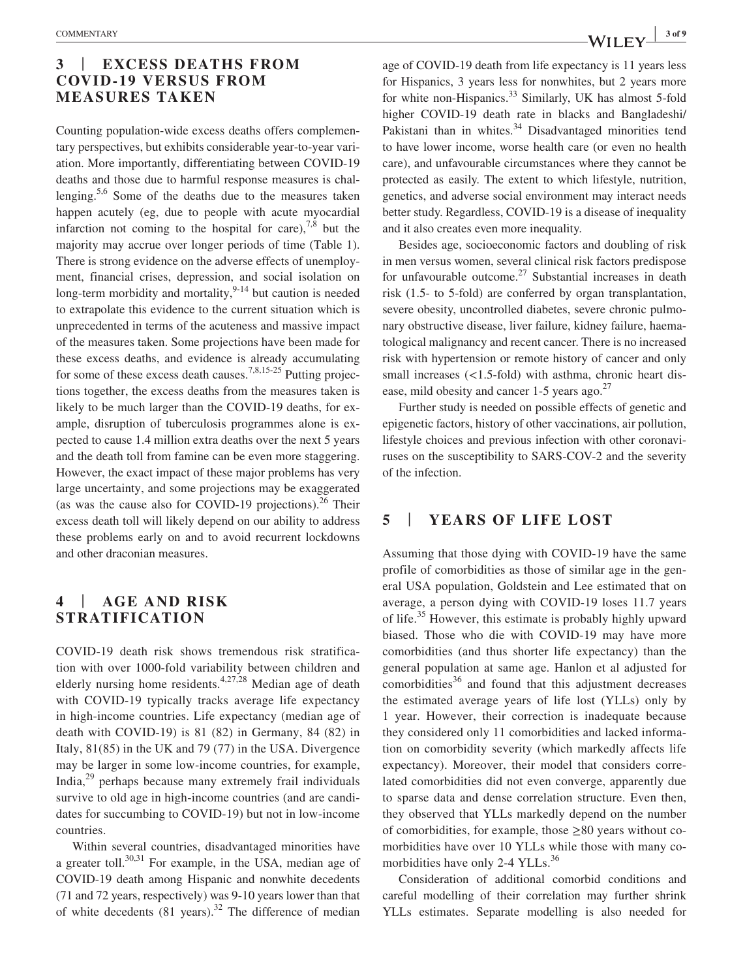# **3** | **EXCESS DEATHS FROM COVID-19 VERSUS FROM MEASURES TAKEN**

Counting population-wide excess deaths offers complementary perspectives, but exhibits considerable year-to-year variation. More importantly, differentiating between COVID-19 deaths and those due to harmful response measures is challenging.5,6 Some of the deaths due to the measures taken happen acutely (eg, due to people with acute myocardial infarction not coming to the hospital for care),  $7,8$  but the majority may accrue over longer periods of time (Table 1). There is strong evidence on the adverse effects of unemployment, financial crises, depression, and social isolation on long-term morbidity and mortality, $9-14$  but caution is needed to extrapolate this evidence to the current situation which is unprecedented in terms of the acuteness and massive impact of the measures taken. Some projections have been made for these excess deaths, and evidence is already accumulating for some of these excess death causes.<sup>7,8,15-25</sup> Putting projections together, the excess deaths from the measures taken is likely to be much larger than the COVID-19 deaths, for example, disruption of tuberculosis programmes alone is expected to cause 1.4 million extra deaths over the next 5 years and the death toll from famine can be even more staggering. However, the exact impact of these major problems has very large uncertainty, and some projections may be exaggerated (as was the cause also for COVID-19 projections).<sup>26</sup> Their excess death toll will likely depend on our ability to address these problems early on and to avoid recurrent lockdowns and other draconian measures.

# **4** | **AGE AND RISK STRATIFICATION**

COVID-19 death risk shows tremendous risk stratification with over 1000-fold variability between children and elderly nursing home residents.4,27,28 Median age of death with COVID-19 typically tracks average life expectancy in high-income countries. Life expectancy (median age of death with COVID-19) is 81 (82) in Germany, 84 (82) in Italy, 81(85) in the UK and 79 (77) in the USA. Divergence may be larger in some low-income countries, for example, India,29 perhaps because many extremely frail individuals survive to old age in high-income countries (and are candidates for succumbing to COVID-19) but not in low-income countries.

Within several countries, disadvantaged minorities have a greater toll. $30,31$  For example, in the USA, median age of COVID-19 death among Hispanic and nonwhite decedents (71 and 72 years, respectively) was 9-10 years lower than that of white decedents  $(81 \text{ years})^{32}$  The difference of median

age of COVID-19 death from life expectancy is 11 years less for Hispanics, 3 years less for nonwhites, but 2 years more for white non-Hispanics.<sup>33</sup> Similarly, UK has almost 5-fold higher COVID-19 death rate in blacks and Bangladeshi/ Pakistani than in whites.<sup>34</sup> Disadvantaged minorities tend to have lower income, worse health care (or even no health care), and unfavourable circumstances where they cannot be protected as easily. The extent to which lifestyle, nutrition, genetics, and adverse social environment may interact needs better study. Regardless, COVID-19 is a disease of inequality and it also creates even more inequality.

Besides age, socioeconomic factors and doubling of risk in men versus women, several clinical risk factors predispose for unfavourable outcome.<sup>27</sup> Substantial increases in death risk (1.5- to 5-fold) are conferred by organ transplantation, severe obesity, uncontrolled diabetes, severe chronic pulmonary obstructive disease, liver failure, kidney failure, haematological malignancy and recent cancer. There is no increased risk with hypertension or remote history of cancer and only small increases (<1.5-fold) with asthma, chronic heart disease, mild obesity and cancer 1-5 years ago.<sup>27</sup>

Further study is needed on possible effects of genetic and epigenetic factors, history of other vaccinations, air pollution, lifestyle choices and previous infection with other coronaviruses on the susceptibility to SARS-COV-2 and the severity of the infection.

#### **5** | **YEARS OF LIFE LOST**

Assuming that those dying with COVID-19 have the same profile of comorbidities as those of similar age in the general USA population, Goldstein and Lee estimated that on average, a person dying with COVID-19 loses 11.7 years of life.<sup>35</sup> However, this estimate is probably highly upward biased. Those who die with COVID-19 may have more comorbidities (and thus shorter life expectancy) than the general population at same age. Hanlon et al adjusted for comorbidities $36$  and found that this adjustment decreases the estimated average years of life lost (YLLs) only by 1 year. However, their correction is inadequate because they considered only 11 comorbidities and lacked information on comorbidity severity (which markedly affects life expectancy). Moreover, their model that considers correlated comorbidities did not even converge, apparently due to sparse data and dense correlation structure. Even then, they observed that YLLs markedly depend on the number of comorbidities, for example, those  $\geq 80$  years without comorbidities have over 10 YLLs while those with many comorbidities have only 2-4 YLLs.<sup>36</sup>

Consideration of additional comorbid conditions and careful modelling of their correlation may further shrink YLLs estimates. Separate modelling is also needed for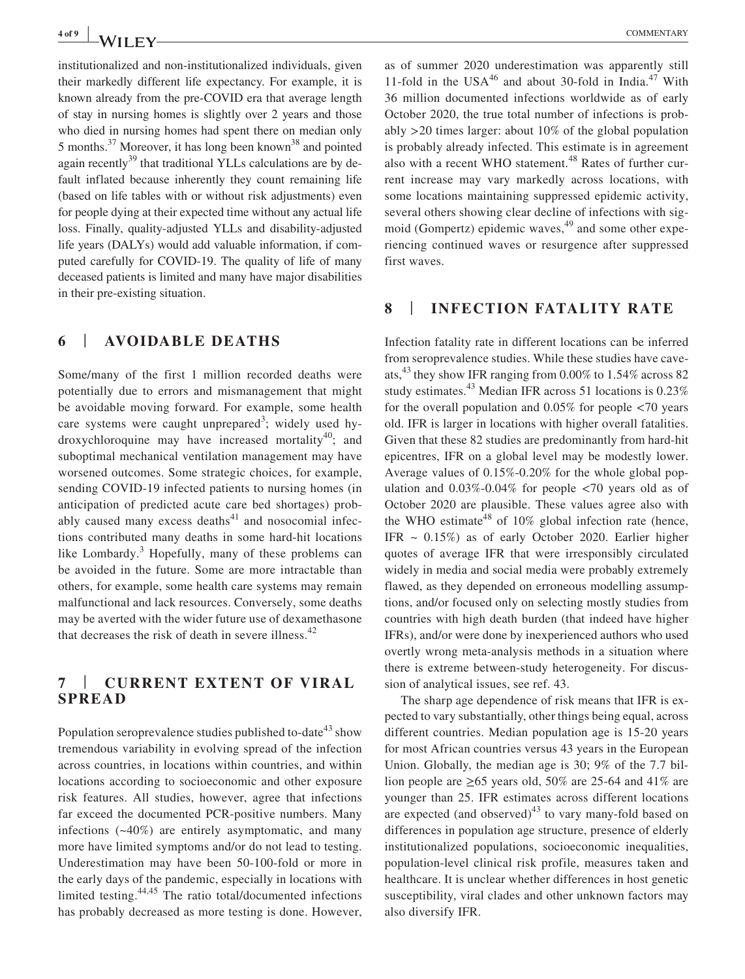institutionalized and non-institutionalized individuals, given their markedly different life expectancy. For example, it is known already from the pre-COVID era that average length of stay in nursing homes is slightly over 2 years and those who died in nursing homes had spent there on median only 5 months.<sup>37</sup> Moreover, it has long been known<sup>38</sup> and pointed again recently $39$  that traditional YLLs calculations are by default inflated because inherently they count remaining life (based on life tables with or without risk adjustments) even for people dying at their expected time without any actual life loss. Finally, quality-adjusted YLLs and disability-adjusted life years (DALYs) would add valuable information, if computed carefully for COVID-19. The quality of life of many deceased patients is limited and many have major disabilities in their pre-existing situation.

# **6** | **AVOIDABLE DEATHS**

Some/many of the first 1 million recorded deaths were potentially due to errors and mismanagement that might be avoidable moving forward. For example, some health care systems were caught unprepared<sup>3</sup>; widely used hydroxychloroquine may have increased mortality<sup>40</sup>; and suboptimal mechanical ventilation management may have worsened outcomes. Some strategic choices, for example, sending COVID-19 infected patients to nursing homes (in anticipation of predicted acute care bed shortages) probably caused many excess deaths $41$  and nosocomial infections contributed many deaths in some hard-hit locations like Lombardy. $3$  Hopefully, many of these problems can be avoided in the future. Some are more intractable than others, for example, some health care systems may remain malfunctional and lack resources. Conversely, some deaths may be averted with the wider future use of dexamethasone that decreases the risk of death in severe illness.<sup>42</sup>

# **7** | **CURRENT EXTENT OF VIRAL SPREAD**

Population seroprevalence studies published to-date<sup>43</sup> show tremendous variability in evolving spread of the infection across countries, in locations within countries, and within locations according to socioeconomic and other exposure risk features. All studies, however, agree that infections far exceed the documented PCR-positive numbers. Many infections (~40%) are entirely asymptomatic, and many more have limited symptoms and/or do not lead to testing. Underestimation may have been 50-100-fold or more in the early days of the pandemic, especially in locations with limited testing.44,45 The ratio total/documented infections has probably decreased as more testing is done. However, as of summer 2020 underestimation was apparently still 11-fold in the USA $^{46}$  and about 30-fold in India.<sup>47</sup> With 36 million documented infections worldwide as of early October 2020, the true total number of infections is probably >20 times larger: about 10% of the global population is probably already infected. This estimate is in agreement also with a recent WHO statement.<sup>48</sup> Rates of further current increase may vary markedly across locations, with some locations maintaining suppressed epidemic activity, several others showing clear decline of infections with sigmoid (Gompertz) epidemic waves, $49$  and some other experiencing continued waves or resurgence after suppressed first waves.

#### **8** | **INFECTION FATALITY RATE**

Infection fatality rate in different locations can be inferred from seroprevalence studies. While these studies have caveats,  $43$  they show IFR ranging from 0.00% to 1.54% across 82 study estimates.<sup>43</sup> Median IFR across 51 locations is 0.23% for the overall population and 0.05% for people <70 years old. IFR is larger in locations with higher overall fatalities. Given that these 82 studies are predominantly from hard-hit epicentres, IFR on a global level may be modestly lower. Average values of 0.15%-0.20% for the whole global population and  $0.03\%$ -0.04% for people  $\langle 70 \rangle$  years old as of October 2020 are plausible. These values agree also with the WHO estimate<sup>48</sup> of  $10\%$  global infection rate (hence, IFR  $\sim$  0.15%) as of early October 2020. Earlier higher quotes of average IFR that were irresponsibly circulated widely in media and social media were probably extremely flawed, as they depended on erroneous modelling assumptions, and/or focused only on selecting mostly studies from countries with high death burden (that indeed have higher IFRs), and/or were done by inexperienced authors who used overtly wrong meta-analysis methods in a situation where there is extreme between-study heterogeneity. For discussion of analytical issues, see ref. 43.

The sharp age dependence of risk means that IFR is expected to vary substantially, other things being equal, across different countries. Median population age is 15-20 years for most African countries versus 43 years in the European Union. Globally, the median age is 30; 9% of the 7.7 billion people are  $\geq 65$  years old, 50% are 25-64 and 41% are younger than 25. IFR estimates across different locations are expected (and observed) $43$  to vary many-fold based on differences in population age structure, presence of elderly institutionalized populations, socioeconomic inequalities, population-level clinical risk profile, measures taken and healthcare. It is unclear whether differences in host genetic susceptibility, viral clades and other unknown factors may also diversify IFR.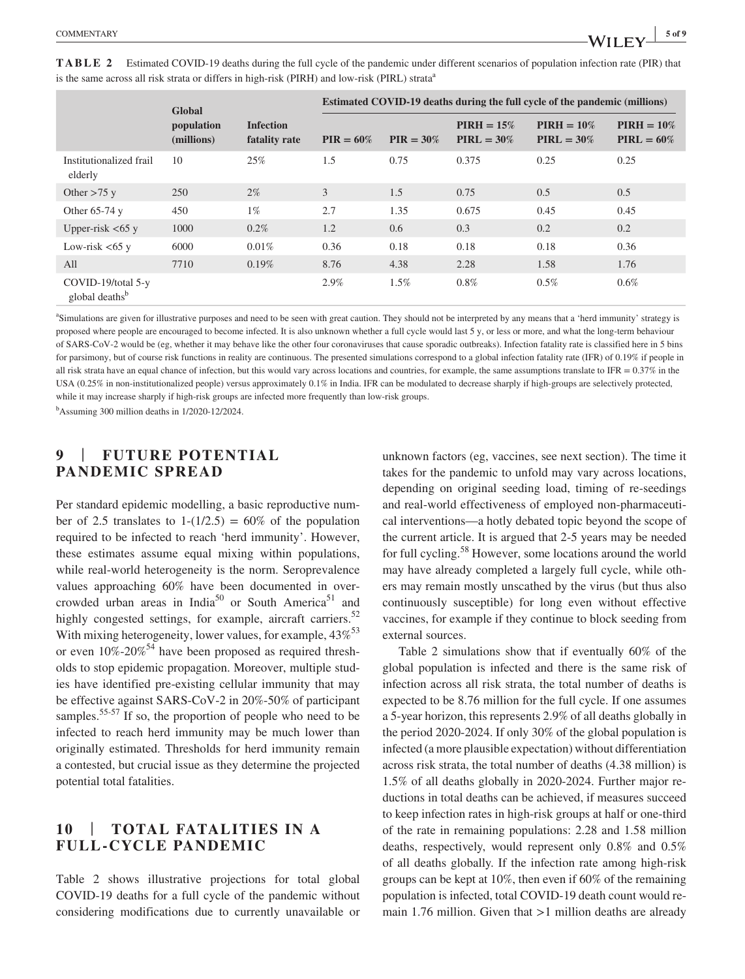|                                                  | Global<br>population<br>(millions) | <b>Infection</b><br>fatality rate | <b>Estimated COVID-19 deaths during the full cycle of the pandemic (millions)</b> |              |                                |                                |                                |
|--------------------------------------------------|------------------------------------|-----------------------------------|-----------------------------------------------------------------------------------|--------------|--------------------------------|--------------------------------|--------------------------------|
|                                                  |                                    |                                   | $PIR = 60\%$                                                                      | $PIR = 30\%$ | $PIRH = 15\%$<br>$PIRL = 30\%$ | $PIRH = 10\%$<br>$PIRL = 30\%$ | $PIRH = 10\%$<br>$PIRL = 60\%$ |
| Institutionalized frail<br>elderly               | 10                                 | 25%                               | 1.5                                                                               | 0.75         | 0.375                          | 0.25                           | 0.25                           |
| Other $>75$ y                                    | 250                                | $2\%$                             | 3                                                                                 | 1.5          | 0.75                           | 0.5                            | 0.5                            |
| Other $65-74$ y                                  | 450                                | $1\%$                             | 2.7                                                                               | 1.35         | 0.675                          | 0.45                           | 0.45                           |
| Upper-risk $<65$ y                               | 1000                               | 0.2%                              | 1.2                                                                               | 0.6          | 0.3                            | 0.2                            | 0.2                            |
| Low-risk $<65$ y                                 | 6000                               | 0.01%                             | 0.36                                                                              | 0.18         | 0.18                           | 0.18                           | 0.36                           |
| All                                              | 7710                               | 0.19%                             | 8.76                                                                              | 4.38         | 2.28                           | 1.58                           | 1.76                           |
| COVID-19/total 5-y<br>global deaths <sup>b</sup> |                                    |                                   | 2.9%                                                                              | $1.5\%$      | $0.8\%$                        | $0.5\%$                        | $0.6\%$                        |

**TABLE 2** Estimated COVID-19 deaths during the full cycle of the pandemic under different scenarios of population infection rate (PIR) that is the same across all risk strata or differs in high-risk (PIRH) and low-risk (PIRL) strata<sup>a</sup>

a Simulations are given for illustrative purposes and need to be seen with great caution. They should not be interpreted by any means that a 'herd immunity' strategy is proposed where people are encouraged to become infected. It is also unknown whether a full cycle would last 5 y, or less or more, and what the long-term behaviour of SARS-CoV-2 would be (eg, whether it may behave like the other four coronaviruses that cause sporadic outbreaks). Infection fatality rate is classified here in 5 bins for parsimony, but of course risk functions in reality are continuous. The presented simulations correspond to a global infection fatality rate (IFR) of 0.19% if people in all risk strata have an equal chance of infection, but this would vary across locations and countries, for example, the same assumptions translate to IFR =  $0.37\%$  in the USA (0.25% in non-institutionalized people) versus approximately 0.1% in India. IFR can be modulated to decrease sharply if high-groups are selectively protected, while it may increase sharply if high-risk groups are infected more frequently than low-risk groups.

b Assuming 300 million deaths in 1/2020-12/2024.

## **9** | **FUTURE POTENTIAL PANDEMIC SPREAD**

Per standard epidemic modelling, a basic reproductive number of 2.5 translates to  $1-(1/2.5) = 60\%$  of the population required to be infected to reach 'herd immunity'. However, these estimates assume equal mixing within populations, while real-world heterogeneity is the norm. Seroprevalence values approaching 60% have been documented in overcrowded urban areas in India<sup>50</sup> or South America<sup>51</sup> and highly congested settings, for example, aircraft carriers.<sup>52</sup> With mixing heterogeneity, lower values, for example,  $43\%^{53}$ or even  $10\%$ -20%<sup>54</sup> have been proposed as required thresholds to stop epidemic propagation. Moreover, multiple studies have identified pre-existing cellular immunity that may be effective against SARS-CoV-2 in 20%-50% of participant samples.<sup>55-57</sup> If so, the proportion of people who need to be infected to reach herd immunity may be much lower than originally estimated. Thresholds for herd immunity remain a contested, but crucial issue as they determine the projected potential total fatalities.

# **10** | **TOTAL FATALITIES IN A FULL-CYCLE PANDEMIC**

Table 2 shows illustrative projections for total global COVID-19 deaths for a full cycle of the pandemic without considering modifications due to currently unavailable or unknown factors (eg, vaccines, see next section). The time it takes for the pandemic to unfold may vary across locations, depending on original seeding load, timing of re-seedings and real-world effectiveness of employed non-pharmaceutical interventions—a hotly debated topic beyond the scope of the current article. It is argued that 2-5 years may be needed for full cycling.58 However, some locations around the world may have already completed a largely full cycle, while others may remain mostly unscathed by the virus (but thus also continuously susceptible) for long even without effective vaccines, for example if they continue to block seeding from external sources.

Table 2 simulations show that if eventually 60% of the global population is infected and there is the same risk of infection across all risk strata, the total number of deaths is expected to be 8.76 million for the full cycle. If one assumes a 5-year horizon, this represents 2.9% of all deaths globally in the period 2020-2024. If only 30% of the global population is infected (a more plausible expectation) without differentiation across risk strata, the total number of deaths (4.38 million) is 1.5% of all deaths globally in 2020-2024. Further major reductions in total deaths can be achieved, if measures succeed to keep infection rates in high-risk groups at half or one-third of the rate in remaining populations: 2.28 and 1.58 million deaths, respectively, would represent only 0.8% and 0.5% of all deaths globally. If the infection rate among high-risk groups can be kept at 10%, then even if 60% of the remaining population is infected, total COVID-19 death count would remain 1.76 million. Given that >1 million deaths are already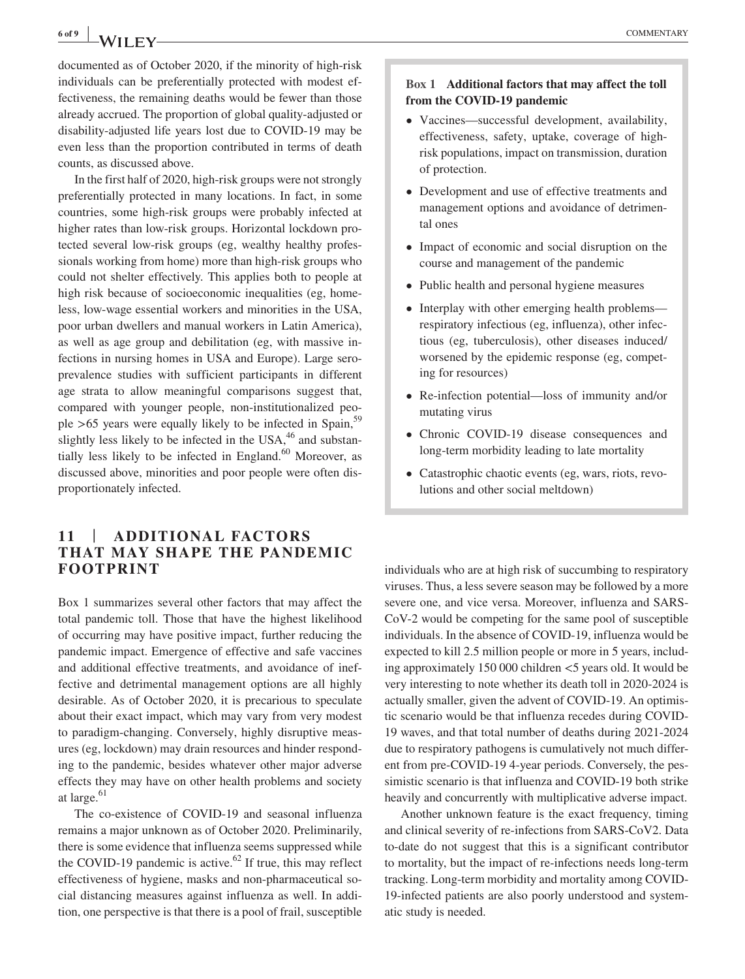# **6 of 9 <sup>|</sup>** COMMENTARY

documented as of October 2020, if the minority of high-risk individuals can be preferentially protected with modest effectiveness, the remaining deaths would be fewer than those already accrued. The proportion of global quality-adjusted or disability-adjusted life years lost due to COVID-19 may be even less than the proportion contributed in terms of death counts, as discussed above.

In the first half of 2020, high-risk groups were not strongly preferentially protected in many locations. In fact, in some countries, some high-risk groups were probably infected at higher rates than low-risk groups. Horizontal lockdown protected several low-risk groups (eg, wealthy healthy professionals working from home) more than high-risk groups who could not shelter effectively. This applies both to people at high risk because of socioeconomic inequalities (eg, homeless, low-wage essential workers and minorities in the USA, poor urban dwellers and manual workers in Latin America), as well as age group and debilitation (eg, with massive infections in nursing homes in USA and Europe). Large seroprevalence studies with sufficient participants in different age strata to allow meaningful comparisons suggest that, compared with younger people, non-institutionalized people  $>65$  years were equally likely to be infected in Spain,  $59$ slightly less likely to be infected in the USA, $46$  and substantially less likely to be infected in England. $60$  Moreover, as discussed above, minorities and poor people were often disproportionately infected.

#### **11** | **ADDITIONAL FACTORS THAT MAY SHAPE THE PANDEMIC FOOTPRINT**

Box 1 summarizes several other factors that may affect the total pandemic toll. Those that have the highest likelihood of occurring may have positive impact, further reducing the pandemic impact. Emergence of effective and safe vaccines and additional effective treatments, and avoidance of ineffective and detrimental management options are all highly desirable. As of October 2020, it is precarious to speculate about their exact impact, which may vary from very modest to paradigm-changing. Conversely, highly disruptive measures (eg, lockdown) may drain resources and hinder responding to the pandemic, besides whatever other major adverse effects they may have on other health problems and society at large.<sup>61</sup>

The co-existence of COVID-19 and seasonal influenza remains a major unknown as of October 2020. Preliminarily, there is some evidence that influenza seems suppressed while the COVID-19 pandemic is active.<sup>62</sup> If true, this may reflect effectiveness of hygiene, masks and non-pharmaceutical social distancing measures against influenza as well. In addition, one perspective is that there is a pool of frail, susceptible

#### **Box 1 Additional factors that may affect the toll from the COVID-19 pandemic**

- Vaccines—successful development, availability, effectiveness, safety, uptake, coverage of highrisk populations, impact on transmission, duration of protection.
- Development and use of effective treatments and management options and avoidance of detrimental ones
- Impact of economic and social disruption on the course and management of the pandemic
- Public health and personal hygiene measures
- Interplay with other emerging health problems respiratory infectious (eg, influenza), other infectious (eg, tuberculosis), other diseases induced/ worsened by the epidemic response (eg, competing for resources)
- Re-infection potential—loss of immunity and/or mutating virus
- Chronic COVID-19 disease consequences and long-term morbidity leading to late mortality
- Catastrophic chaotic events (eg, wars, riots, revolutions and other social meltdown)

individuals who are at high risk of succumbing to respiratory viruses. Thus, a less severe season may be followed by a more severe one, and vice versa. Moreover, influenza and SARS-CoV-2 would be competing for the same pool of susceptible individuals. In the absence of COVID-19, influenza would be expected to kill 2.5 million people or more in 5 years, including approximately 150 000 children <5 years old. It would be very interesting to note whether its death toll in 2020-2024 is actually smaller, given the advent of COVID-19. An optimistic scenario would be that influenza recedes during COVID-19 waves, and that total number of deaths during 2021-2024 due to respiratory pathogens is cumulatively not much different from pre-COVID-19 4-year periods. Conversely, the pessimistic scenario is that influenza and COVID-19 both strike heavily and concurrently with multiplicative adverse impact.

Another unknown feature is the exact frequency, timing and clinical severity of re-infections from SARS-CoV2. Data to-date do not suggest that this is a significant contributor to mortality, but the impact of re-infections needs long-term tracking. Long-term morbidity and mortality among COVID-19-infected patients are also poorly understood and systematic study is needed.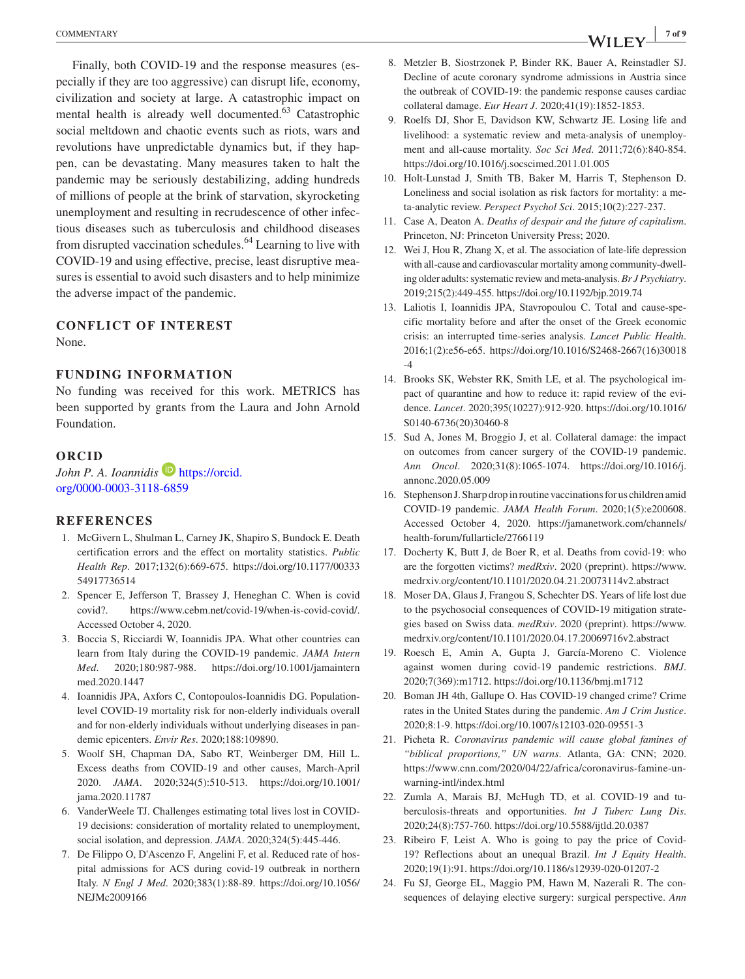Finally, both COVID-19 and the response measures (especially if they are too aggressive) can disrupt life, economy, civilization and society at large. A catastrophic impact on mental health is already well documented.<sup>63</sup> Catastrophic social meltdown and chaotic events such as riots, wars and revolutions have unpredictable dynamics but, if they happen, can be devastating. Many measures taken to halt the pandemic may be seriously destabilizing, adding hundreds of millions of people at the brink of starvation, skyrocketing unemployment and resulting in recrudescence of other infectious diseases such as tuberculosis and childhood diseases from disrupted vaccination schedules.<sup>64</sup> Learning to live with COVID-19 and using effective, precise, least disruptive measures is essential to avoid such disasters and to help minimize the adverse impact of the pandemic.

#### **CONFLICT OF INTEREST**

None.

#### **FUNDING INFORMATION**

No funding was received for this work. METRICS has been supported by grants from the Laura and John Arnold Foundation.

#### **ORCID**

*John P. A. Ioannidis* **[https://orcid.](https://orcid.org/0000-0003-3118-6859)** [org/0000-0003-3118-6859](https://orcid.org/0000-0003-3118-6859)

#### **REFERENCES**

- 1. McGivern L, Shulman L, Carney JK, Shapiro S, Bundock E. Death certification errors and the effect on mortality statistics. *Public Health Rep*. 2017;132(6):669-675. [https://doi.org/10.1177/00333](https://doi.org/10.1177/0033354917736514) [54917736514](https://doi.org/10.1177/0033354917736514)
- 2. Spencer E, Jefferson T, Brassey J, Heneghan C. When is covid covid?. [https://www.cebm.net/covid-19/when-is-covid-covid/.](https://www.cebm.net/covid-19/when-is-covid-covid/) Accessed October 4, 2020.
- 3. Boccia S, Ricciardi W, Ioannidis JPA. What other countries can learn from Italy during the COVID-19 pandemic. *JAMA Intern Med*. 2020;180:987-988. [https://doi.org/10.1001/jamaintern](https://doi.org/10.1001/jamainternmed.2020.1447) [med.2020.1447](https://doi.org/10.1001/jamainternmed.2020.1447)
- 4. Ioannidis JPA, Axfors C, Contopoulos-Ioannidis DG. Populationlevel COVID-19 mortality risk for non-elderly individuals overall and for non-elderly individuals without underlying diseases in pandemic epicenters. *Envir Res*. 2020;188:109890.
- 5. Woolf SH, Chapman DA, Sabo RT, Weinberger DM, Hill L. Excess deaths from COVID-19 and other causes, March-April 2020. *JAMA*. 2020;324(5):510-513. [https://doi.org/10.1001/](https://doi.org/10.1001/jama.2020.11787) [jama.2020.11787](https://doi.org/10.1001/jama.2020.11787)
- 6. VanderWeele TJ. Challenges estimating total lives lost in COVID-19 decisions: consideration of mortality related to unemployment, social isolation, and depression. *JAMA*. 2020;324(5):445-446.
- 7. De Filippo O, D'Ascenzo F, Angelini F, et al. Reduced rate of hospital admissions for ACS during covid-19 outbreak in northern Italy. *N Engl J Med*. 2020;383(1):88-89. [https://doi.org/10.1056/](https://doi.org/10.1056/NEJMc2009166) [NEJMc2009166](https://doi.org/10.1056/NEJMc2009166)
- 8. Metzler B, Siostrzonek P, Binder RK, Bauer A, Reinstadler SJ. Decline of acute coronary syndrome admissions in Austria since the outbreak of COVID-19: the pandemic response causes cardiac collateral damage. *Eur Heart J*. 2020;41(19):1852-1853.
- 9. Roelfs DJ, Shor E, Davidson KW, Schwartz JE. Losing life and livelihood: a systematic review and meta-analysis of unemployment and all-cause mortality. *Soc Sci Med*. 2011;72(6):840-854. <https://doi.org/10.1016/j.socscimed.2011.01.005>
- 10. Holt-Lunstad J, Smith TB, Baker M, Harris T, Stephenson D. Loneliness and social isolation as risk factors for mortality: a meta-analytic review. *Perspect Psychol Sci*. 2015;10(2):227-237.
- 11. Case A, Deaton A. *Deaths of despair and the future of capitalism*. Princeton, NJ: Princeton University Press; 2020.
- 12. Wei J, Hou R, Zhang X, et al. The association of late-life depression with all-cause and cardiovascular mortality among community-dwelling older adults: systematic review and meta-analysis. *Br J Psychiatry*. 2019;215(2):449-455.<https://doi.org/10.1192/bjp.2019.74>
- 13. Laliotis I, Ioannidis JPA, Stavropoulou C. Total and cause-specific mortality before and after the onset of the Greek economic crisis: an interrupted time-series analysis. *Lancet Public Health*. 2016;1(2):e56-e65. [https://doi.org/10.1016/S2468-2667\(16\)30018](https://doi.org/10.1016/S2468-2667(16)30018-4) [-4](https://doi.org/10.1016/S2468-2667(16)30018-4)
- 14. Brooks SK, Webster RK, Smith LE, et al. The psychological impact of quarantine and how to reduce it: rapid review of the evidence. *Lancet*. 2020;395(10227):912-920. [https://doi.org/10.1016/](https://doi.org/10.1016/S0140-6736(20)30460-8) [S0140-6736\(20\)30460-8](https://doi.org/10.1016/S0140-6736(20)30460-8)
- 15. Sud A, Jones M, Broggio J, et al. Collateral damage: the impact on outcomes from cancer surgery of the COVID-19 pandemic. *Ann Oncol*. 2020;31(8):1065-1074. [https://doi.org/10.1016/j.](https://doi.org/10.1016/j.annonc.2020.05.009) [annonc.2020.05.009](https://doi.org/10.1016/j.annonc.2020.05.009)
- 16. Stephenson J. Sharp drop in routine vaccinations for us children amid COVID-19 pandemic. *JAMA Health Forum*. 2020;1(5):e200608. Accessed October 4, 2020. [https://jamanetwork.com/channels/](https://jamanetwork.com/channels/health-forum/fullarticle/2766119) [health-forum/fullarticle/2766119](https://jamanetwork.com/channels/health-forum/fullarticle/2766119)
- 17. Docherty K, Butt J, de Boer R, et al. Deaths from covid-19: who are the forgotten victims? *medRxiv*. 2020 (preprint). [https://www.](https://www.medrxiv.org/content/10.1101/2020.04.21.20073114v2.abstract) [medrxiv.org/content/10.1101/2020.04.21.20073114v2.abstract](https://www.medrxiv.org/content/10.1101/2020.04.21.20073114v2.abstract)
- 18. Moser DA, Glaus J, Frangou S, Schechter DS. Years of life lost due to the psychosocial consequences of COVID-19 mitigation strategies based on Swiss data. *medRxiv*. 2020 (preprint). [https://www.](https://www.medrxiv.org/content/10.1101/2020.04.17.20069716v2.abstract) [medrxiv.org/content/10.1101/2020.04.17.20069716v2.abstract](https://www.medrxiv.org/content/10.1101/2020.04.17.20069716v2.abstract)
- 19. Roesch E, Amin A, Gupta J, García-Moreno C. Violence against women during covid-19 pandemic restrictions. *BMJ*. 2020;7(369):m1712.<https://doi.org/10.1136/bmj.m1712>
- 20. Boman JH 4th, Gallupe O. Has COVID-19 changed crime? Crime rates in the United States during the pandemic. *Am J Crim Justice*. 2020;8:1-9.<https://doi.org/10.1007/s12103-020-09551-3>
- 21. Picheta R. *Coronavirus pandemic will cause global famines of "biblical proportions," UN warns*. Atlanta, GA: CNN; 2020. [https://www.cnn.com/2020/04/22/africa/coronavirus-famine-un](https://www.cnn.com/2020/04/22/africa/coronavirus-famine-un-warning-intl/index.html)[warning-intl/index.html](https://www.cnn.com/2020/04/22/africa/coronavirus-famine-un-warning-intl/index.html)
- 22. Zumla A, Marais BJ, McHugh TD, et al. COVID-19 and tuberculosis-threats and opportunities. *Int J Tuberc Lung Dis*. 2020;24(8):757-760. <https://doi.org/10.5588/ijtld.20.0387>
- 23. Ribeiro F, Leist A. Who is going to pay the price of Covid-19? Reflections about an unequal Brazil. *Int J Equity Health*. 2020;19(1):91. <https://doi.org/10.1186/s12939-020-01207-2>
- 24. Fu SJ, George EL, Maggio PM, Hawn M, Nazerali R. The consequences of delaying elective surgery: surgical perspective. *Ann*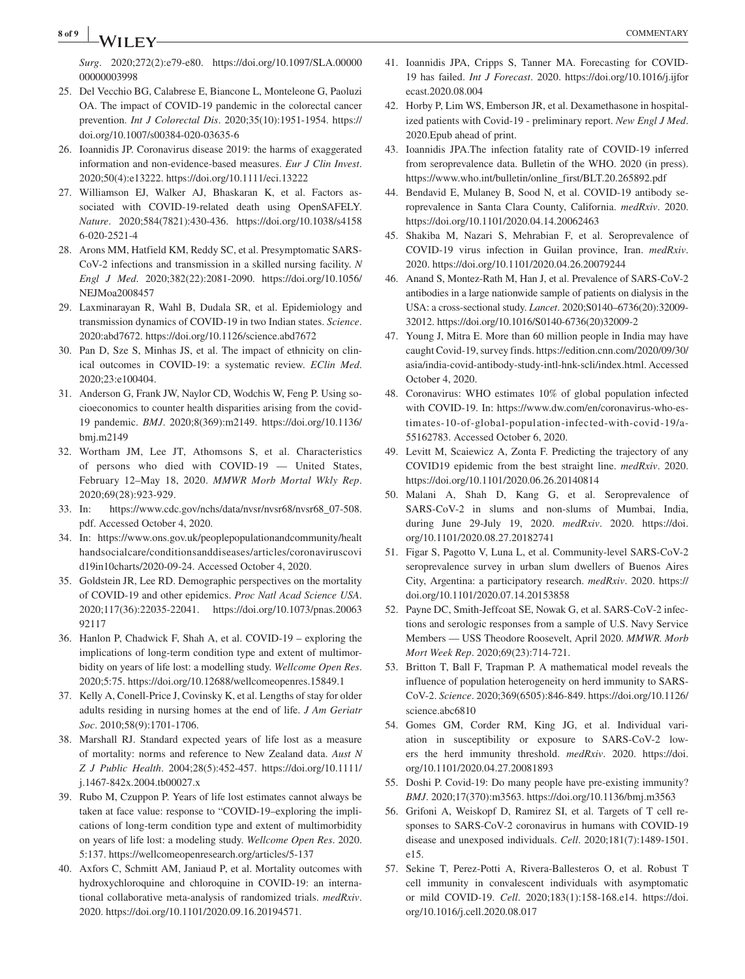**8 of 9 <sup>|</sup>** COMMENTARY

*Surg*. 2020;272(2):e79-e80. [https://doi.org/10.1097/SLA.00000](https://doi.org/10.1097/SLA.0000000000003998) [00000003998](https://doi.org/10.1097/SLA.0000000000003998)

- 25. Del Vecchio BG, Calabrese E, Biancone L, Monteleone G, Paoluzi OA. The impact of COVID-19 pandemic in the colorectal cancer prevention. *Int J Colorectal Dis*. 2020;35(10):1951-1954. [https://](https://doi.org/10.1007/s00384-020-03635-6) [doi.org/10.1007/s00384-020-03635-6](https://doi.org/10.1007/s00384-020-03635-6)
- 26. Ioannidis JP. Coronavirus disease 2019: the harms of exaggerated information and non-evidence-based measures. *Eur J Clin Invest*. 2020;50(4):e13222. <https://doi.org/10.1111/eci.13222>
- 27. Williamson EJ, Walker AJ, Bhaskaran K, et al. Factors associated with COVID-19-related death using OpenSAFELY. *Nature*. 2020;584(7821):430-436. [https://doi.org/10.1038/s4158](https://doi.org/10.1038/s41586-020-2521-4) [6-020-2521-4](https://doi.org/10.1038/s41586-020-2521-4)
- 28. Arons MM, Hatfield KM, Reddy SC, et al. Presymptomatic SARS-CoV-2 infections and transmission in a skilled nursing facility. *N Engl J Med*. 2020;382(22):2081-2090. [https://doi.org/10.1056/](https://doi.org/10.1056/NEJMoa2008457) [NEJMoa2008457](https://doi.org/10.1056/NEJMoa2008457)
- 29. Laxminarayan R, Wahl B, Dudala SR, et al. Epidemiology and transmission dynamics of COVID-19 in two Indian states. *Science*. 2020:abd7672.<https://doi.org/10.1126/science.abd7672>
- 30. Pan D, Sze S, Minhas JS, et al. The impact of ethnicity on clinical outcomes in COVID-19: a systematic review. *EClin Med*. 2020;23:e100404.
- 31. Anderson G, Frank JW, Naylor CD, Wodchis W, Feng P. Using socioeconomics to counter health disparities arising from the covid-19 pandemic. *BMJ*. 2020;8(369):m2149. [https://doi.org/10.1136/](https://doi.org/10.1136/bmj.m2149) [bmj.m2149](https://doi.org/10.1136/bmj.m2149)
- 32. Wortham JM, Lee JT, Athomsons S, et al. Characteristics of persons who died with COVID-19 — United States, February 12–May 18, 2020. *MMWR Morb Mortal Wkly Rep*. 2020;69(28):923-929.
- 33. In: [https://www.cdc.gov/nchs/data/nvsr/nvsr68/nvsr68\\_07-508.](https://www.cdc.gov/nchs/data/nvsr/nvsr68/nvsr68_07-508.pdf) [pdf.](https://www.cdc.gov/nchs/data/nvsr/nvsr68/nvsr68_07-508.pdf) Accessed October 4, 2020.
- 34. In: [https://www.ons.gov.uk/peoplepopulationandcommunity/healt](https://www.ons.gov.uk/peoplepopulationandcommunity/healthandsocialcare/conditionsanddiseases/articles/coronaviruscovid19in10charts/2020-09-24) [handsocialcare/conditionsanddiseases/articles/coronaviruscovi](https://www.ons.gov.uk/peoplepopulationandcommunity/healthandsocialcare/conditionsanddiseases/articles/coronaviruscovid19in10charts/2020-09-24) [d19in10charts/2020-09-24.](https://www.ons.gov.uk/peoplepopulationandcommunity/healthandsocialcare/conditionsanddiseases/articles/coronaviruscovid19in10charts/2020-09-24) Accessed October 4, 2020.
- 35. Goldstein JR, Lee RD. Demographic perspectives on the mortality of COVID-19 and other epidemics. *Proc Natl Acad Science USA*. 2020;117(36):22035-22041. [https://doi.org/10.1073/pnas.20063](https://doi.org/10.1073/pnas.2006392117) [92117](https://doi.org/10.1073/pnas.2006392117)
- 36. Hanlon P, Chadwick F, Shah A, et al. COVID-19 exploring the implications of long-term condition type and extent of multimorbidity on years of life lost: a modelling study. *Wellcome Open Res*. 2020;5:75.<https://doi.org/10.12688/wellcomeopenres.15849.1>
- 37. Kelly A, Conell-Price J, Covinsky K, et al. Lengths of stay for older adults residing in nursing homes at the end of life. *J Am Geriatr Soc*. 2010;58(9):1701-1706.
- 38. Marshall RJ. Standard expected years of life lost as a measure of mortality: norms and reference to New Zealand data. *Aust N Z J Public Health*. 2004;28(5):452-457. [https://doi.org/10.1111/](https://doi.org/10.1111/j.1467-842x.2004.tb00027.x) [j.1467-842x.2004.tb00027.x](https://doi.org/10.1111/j.1467-842x.2004.tb00027.x)
- 39. Rubo M, Czuppon P. Years of life lost estimates cannot always be taken at face value: response to "COVID-19–exploring the implications of long-term condition type and extent of multimorbidity on years of life lost: a modeling study. *Wellcome Open Res*. 2020. 5:137.<https://wellcomeopenresearch.org/articles/5-137>
- 40. Axfors C, Schmitt AM, Janiaud P, et al. Mortality outcomes with hydroxychloroquine and chloroquine in COVID-19: an international collaborative meta-analysis of randomized trials. *medRxiv*. 2020. <https://doi.org/10.1101/2020.09.16.20194571>.
- 41. Ioannidis JPA, Cripps S, Tanner MA. Forecasting for COVID-19 has failed. *Int J Forecast*. 2020. [https://doi.org/10.1016/j.ijfor](https://doi.org/10.1016/j.ijforecast.2020.08.004) [ecast.2020.08.004](https://doi.org/10.1016/j.ijforecast.2020.08.004)
- 42. Horby P, Lim WS, Emberson JR, et al. Dexamethasone in hospitalized patients with Covid-19 - preliminary report. *New Engl J Med*. 2020.Epub ahead of print.
- 43. Ioannidis JPA.The infection fatality rate of COVID-19 inferred from seroprevalence data. Bulletin of the WHO. 2020 (in press). [https://www.who.int/bulletin/online\\_first/BLT.20.265892.pdf](https://www.who.int/bulletin/online_first/BLT.20.265892.pdf)
- 44. Bendavid E, Mulaney B, Sood N, et al. COVID-19 antibody seroprevalence in Santa Clara County, California. *medRxiv*. 2020. <https://doi.org/10.1101/2020.04.14.20062463>
- 45. Shakiba M, Nazari S, Mehrabian F, et al. Seroprevalence of COVID-19 virus infection in Guilan province, Iran. *medRxiv*. 2020. <https://doi.org/10.1101/2020.04.26.20079244>
- 46. Anand S, Montez-Rath M, Han J, et al. Prevalence of SARS-CoV-2 antibodies in a large nationwide sample of patients on dialysis in the USA: a cross-sectional study. *Lancet*. 2020;S0140–6736(20):32009- 32012. [https://doi.org/10.1016/S0140-6736\(20\)32009-2](https://doi.org/10.1016/S0140-6736(20)32009-2)
- 47. Young J, Mitra E. More than 60 million people in India may have caught Covid-19, survey finds. [https://edition.cnn.com/2020/09/30/](https://edition.cnn.com/2020/09/30/asia/india-covid-antibody-study-intl-hnk-scli/index.html) [asia/india-covid-antibody-study-intl-hnk-scli/index.html.](https://edition.cnn.com/2020/09/30/asia/india-covid-antibody-study-intl-hnk-scli/index.html) Accessed October 4, 2020.
- 48. Coronavirus: WHO estimates 10% of global population infected with COVID-19. In: [https://www.dw.com/en/coronavirus-who-es](https://www.dw.com/en/coronavirus-who-estimates-10-of-global-population-infected-with-covid-19/a-55162783)[timates-10-of-global-population-infected-with-covid-19/a-](https://www.dw.com/en/coronavirus-who-estimates-10-of-global-population-infected-with-covid-19/a-55162783)[55162783.](https://www.dw.com/en/coronavirus-who-estimates-10-of-global-population-infected-with-covid-19/a-55162783) Accessed October 6, 2020.
- 49. Levitt M, Scaiewicz A, Zonta F. Predicting the trajectory of any COVID19 epidemic from the best straight line. *medRxiv*. 2020. <https://doi.org/10.1101/2020.06.26.20140814>
- 50. Malani A, Shah D, Kang G, et al. Seroprevalence of SARS-CoV-2 in slums and non-slums of Mumbai, India, during June 29-July 19, 2020. *medRxiv*. 2020. [https://doi.](https://doi.org/10.1101/2020.08.27.20182741) [org/10.1101/2020.08.27.20182741](https://doi.org/10.1101/2020.08.27.20182741)
- 51. Figar S, Pagotto V, Luna L, et al. Community-level SARS-CoV-2 seroprevalence survey in urban slum dwellers of Buenos Aires City, Argentina: a participatory research. *medRxiv*. 2020. [https://](https://doi.org/10.1101/2020.07.14.20153858) [doi.org/10.1101/2020.07.14.20153858](https://doi.org/10.1101/2020.07.14.20153858)
- 52. Payne DC, Smith-Jeffcoat SE, Nowak G, et al. SARS-CoV-2 infections and serologic responses from a sample of U.S. Navy Service Members — USS Theodore Roosevelt, April 2020. *MMWR. Morb Mort Week Rep*. 2020;69(23):714-721.
- 53. Britton T, Ball F, Trapman P. A mathematical model reveals the influence of population heterogeneity on herd immunity to SARS-CoV-2. *Science*. 2020;369(6505):846-849. [https://doi.org/10.1126/](https://doi.org/10.1126/science.abc6810) [science.abc6810](https://doi.org/10.1126/science.abc6810)
- 54. Gomes GM, Corder RM, King JG, et al. Individual variation in susceptibility or exposure to SARS-CoV-2 lowers the herd immunity threshold. *medRxiv*. 2020. [https://doi.](https://doi.org/10.1101/2020.04.27.20081893) [org/10.1101/2020.04.27.20081893](https://doi.org/10.1101/2020.04.27.20081893)
- 55. Doshi P. Covid-19: Do many people have pre-existing immunity? *BMJ*. 2020;17(370):m3563.<https://doi.org/10.1136/bmj.m3563>
- 56. Grifoni A, Weiskopf D, Ramirez SI, et al. Targets of T cell responses to SARS-CoV-2 coronavirus in humans with COVID-19 disease and unexposed individuals. *Cell*. 2020;181(7):1489-1501. e15.
- 57. Sekine T, Perez-Potti A, Rivera-Ballesteros O, et al. Robust T cell immunity in convalescent individuals with asymptomatic or mild COVID-19. *Cell*. 2020;183(1):158-168.e14. [https://doi.](https://doi.org/10.1016/j.cell.2020.08.017) [org/10.1016/j.cell.2020.08.017](https://doi.org/10.1016/j.cell.2020.08.017)